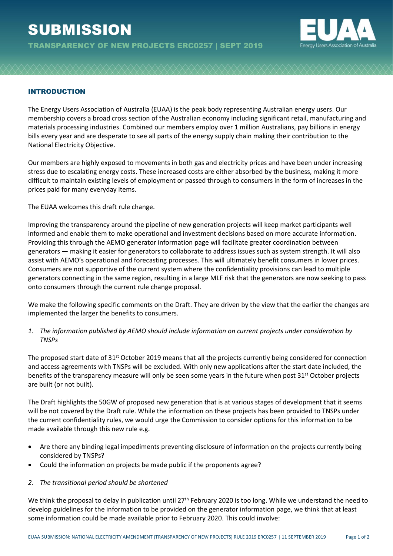## **SUBMISSION**

TRANSPARENCY OF NEW PROJECTS ERC0257 | SEPT 2019



## INTRODUCTION

The Energy Users Association of Australia (EUAA) is the peak body representing Australian energy users. Our membership covers a broad cross section of the Australian economy including significant retail, manufacturing and materials processing industries. Combined our members employ over 1 million Australians, pay billions in energy bills every year and are desperate to see all parts of the energy supply chain making their contribution to the National Electricity Objective.

Our members are highly exposed to movements in both gas and electricity prices and have been under increasing stress due to escalating energy costs. These increased costs are either absorbed by the business, making it more difficult to maintain existing levels of employment or passed through to consumers in the form of increases in the prices paid for many everyday items.

The EUAA welcomes this draft rule change.

Improving the transparency around the pipeline of new generation projects will keep market participants well informed and enable them to make operational and investment decisions based on more accurate information. Providing this through the AEMO generator information page will facilitate greater coordination between generators — making it easier for generators to collaborate to address issues such as system strength. It will also assist with AEMO's operational and forecasting processes. This will ultimately benefit consumers in lower prices. Consumers are not supportive of the current system where the confidentiality provisions can lead to multiple generators connecting in the same region, resulting in a large MLF risk that the generators are now seeking to pass onto consumers through the current rule change proposal.

We make the following specific comments on the Draft. They are driven by the view that the earlier the changes are implemented the larger the benefits to consumers.

*1. The information published by AEMO should include information on current projects under consideration by TNSPs*

The proposed start date of 31<sup>st</sup> October 2019 means that all the projects currently being considered for connection and access agreements with TNSPs will be excluded. With only new applications after the start date included, the benefits of the transparency measure will only be seen some years in the future when post 31<sup>st</sup> October projects are built (or not built).

The Draft highlights the 50GW of proposed new generation that is at various stages of development that it seems will be not covered by the Draft rule. While the information on these projects has been provided to TNSPs under the current confidentiality rules, we would urge the Commission to consider options for this information to be made available through this new rule e.g.

- Are there any binding legal impediments preventing disclosure of information on the projects currently being considered by TNSPs?
- Could the information on projects be made public if the proponents agree?

## *2. The transitional period should be shortened*

We think the proposal to delay in publication until 27<sup>th</sup> February 2020 is too long. While we understand the need to develop guidelines for the information to be provided on the generator information page, we think that at least some information could be made available prior to February 2020. This could involve: